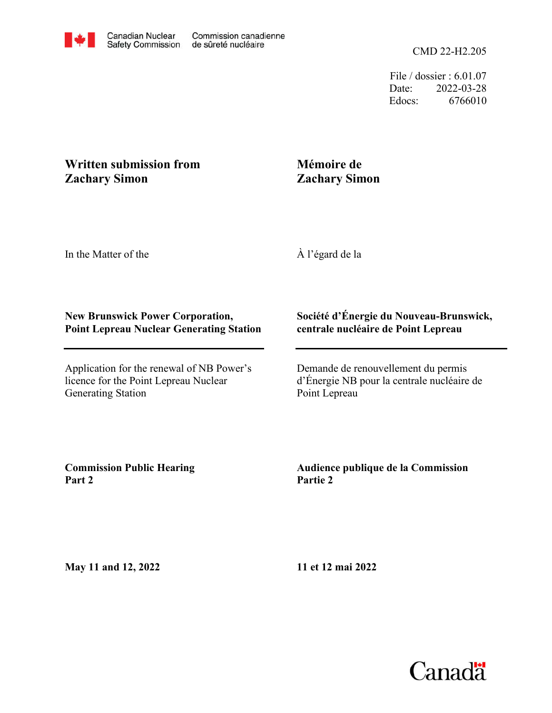File / dossier : 6.01.07 Date: 2022-03-28 Edocs: 6766010

# **Written submission from Zachary Simon**

# **Mémoire de Zachary Simon**

In the Matter of the

À l'égard de la

## **New Brunswick Power Corporation, Point Lepreau Nuclear Generating Station**

Application for the renewal of NB Power's licence for the Point Lepreau Nuclear Generating Station

### **Société d'Énergie du Nouveau-Brunswick, centrale nucléaire de Point Lepreau**

Demande de renouvellement du permis d'Énergie NB pour la centrale nucléaire de Point Lepreau

**Commission Public Hearing Part 2**

### **Audience publique de la Commission Partie 2**

**May 11 and 12, 2022**

**11 et 12 mai 2022**

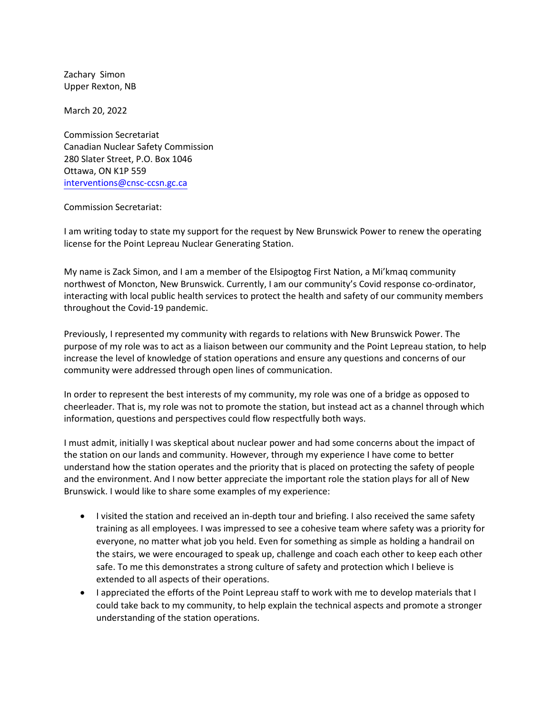Upper Rexton, NB Zachary Simon

March 20, 2022

interventions@cnsc-ccsn.gc.ca Ottawa, ON K1P 559 280 Slater Street, P.O. Box 1046 Canadian Nuclear Safety Commission Commission Secretariat

#### [Commission Secretariat:](mailto:interventions@cnsc-ccsn.gc.ca)

license for the Point Lepreau Nuclear Generating Station. I am writing today to state my support for the request by New Brunswick Power to renew the operating

throughout the Covid-19 pandemic. interacting with local public health services to protect the health and safety of our community members northwest of Moncton, New Brunswick. Currently, I am our community's Covid response co-ordinator, My name is Zack Simon, and I am a member of the Elsipogtog First Nation, a Mi'kmaq community

community were addressed through open lines of communication. increase the level of knowledge of station operations and ensure any questions and concerns of our purpose of my role was to act as a liaison between our community and the Point Lepreau station, to help Previously, I represented my community with regards to relations with New Brunswick Power. The

information, questions and perspectives could flow respectfully both ways. cheerleader. That is, my role was not to promote the station, but instead act as a channel through which In order to represent the best interests of my community, my role was one of a bridge as opposed to

Brunswick. I would like to share some examples of my experience: and the environment. And I now better appreciate the important role the station plays for all of New understand how the station operates and the priority that is placed on protecting the safety of people the station on our lands and community. However, through my experience I have come to better I must admit, initially I was skeptical about nuclear power and had some concerns about the impact of

- extended to all aspects of their operations. safe. To me this demonstrates a strong culture of safety and protection which I believe is the stairs, we were encouraged to speak up, challenge and coach each other to keep each other everyone, no matter what job you held. Even for something as simple as holding a handrail on training as all employees. I was impressed to see a cohesive team where safety was a priority for • I visited the station and received an in-depth tour and briefing. I also received the same safety
- understanding of the station operations. could take back to my community, to help explain the technical aspects and promote a stronger • I appreciated the efforts of the Point Lepreau staff to work with me to develop materials that I